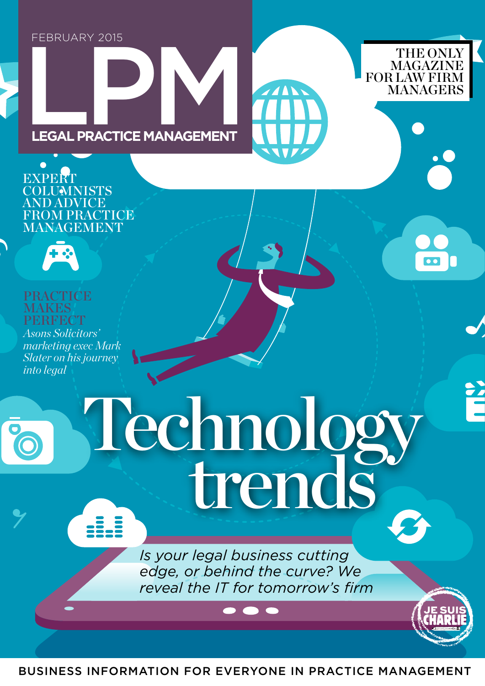## FEBRUARY 2015

THE ONLY MAGAZINE **LEGAL PRACTICE MANAGEMENT**

**EXPERT** COLUMNISTS AND ADVICE FROM PRACTICE MANAGEMENT



PRACTICE **MAKES PERFECT** *Asons Solicitors'* 

*marketing exec Mark Slater on his journey into legal*

Technology<br>trends

*Is your legal business cutting edge, or behind the curve? We reveal the IT for tomorrow's firm* THE ONLY

 $\bullet$ 

**MAGAZINE**<br>FOR LAW FIRM

BUSINESS INFORMATION FOR EVERYONE IN PRACTICE MANAGEMENT